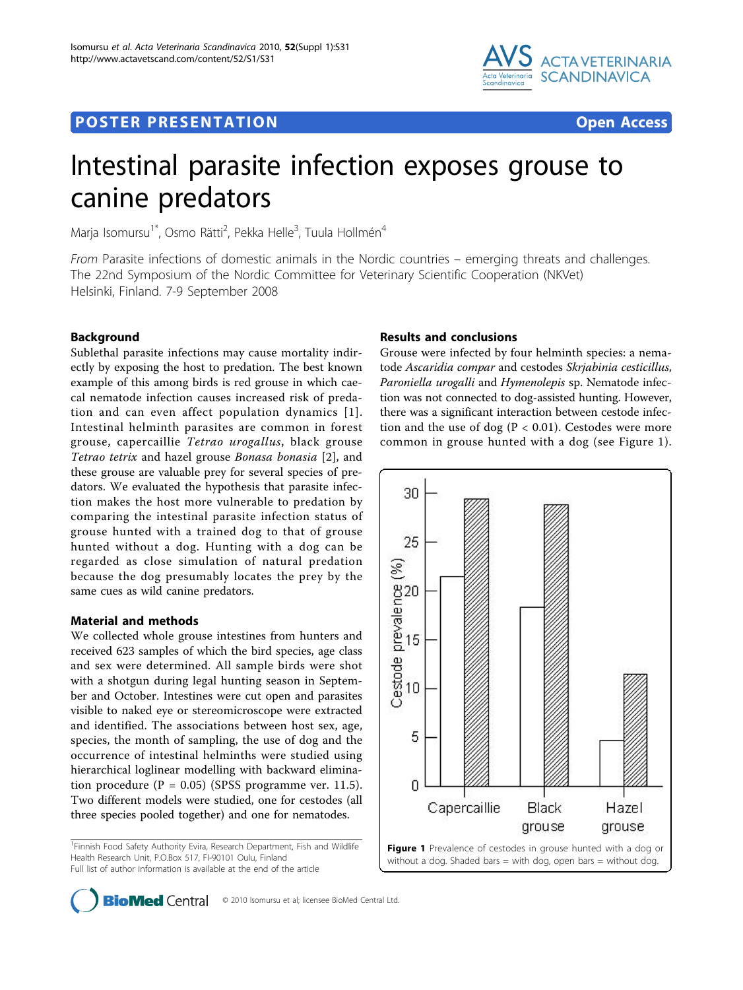## **POSTER PRESENTATION CONSUMING THE SERVICE SERVICE SERVICES**



# Intestinal parasite infection exposes grouse to canine predators

Marja Isomursu<sup>1\*</sup>, Osmo Rätti<sup>2</sup>, Pekka Helle<sup>3</sup>, Tuula Hollmén<sup>4</sup>

From Parasite infections of domestic animals in the Nordic countries – emerging threats and challenges. The 22nd Symposium of the Nordic Committee for Veterinary Scientific Cooperation (NKVet) Helsinki, Finland. 7-9 September 2008

## **Background**

Sublethal parasite infections may cause mortality indirectly by exposing the host to predation. The best known example of this among birds is red grouse in which caecal nematode infection causes increased risk of predation and can even affect population dynamics [[1\]](#page-1-0). Intestinal helminth parasites are common in forest grouse, capercaillie Tetrao urogallus, black grouse Tetrao tetrix and hazel grouse Bonasa bonasia [\[2](#page-1-0)], and these grouse are valuable prey for several species of predators. We evaluated the hypothesis that parasite infection makes the host more vulnerable to predation by comparing the intestinal parasite infection status of grouse hunted with a trained dog to that of grouse hunted without a dog. Hunting with a dog can be regarded as close simulation of natural predation because the dog presumably locates the prey by the same cues as wild canine predators.

## Material and methods

We collected whole grouse intestines from hunters and received 623 samples of which the bird species, age class and sex were determined. All sample birds were shot with a shotgun during legal hunting season in September and October. Intestines were cut open and parasites visible to naked eye or stereomicroscope were extracted and identified. The associations between host sex, age, species, the month of sampling, the use of dog and the occurrence of intestinal helminths were studied using hierarchical loglinear modelling with backward elimination procedure ( $P = 0.05$ ) (SPSS programme ver. 11.5). Two different models were studied, one for cestodes (all three species pooled together) and one for nematodes.

<sup>1</sup> Finnish Food Safety Authority Evira, Research Department, Fish and Wildlife Health Research Unit, P.O.Box 517, FI-90101 Oulu, Finland Full list of author information is available at the end of the article

## Results and conclusions

Grouse were infected by four helminth species: a nematode Ascaridia compar and cestodes Skrjabinia cesticillus, Paroniella urogalli and Hymenolepis sp. Nematode infection was not connected to dog-assisted hunting. However, there was a significant interaction between cestode infection and the use of dog ( $P < 0.01$ ). Cestodes were more common in grouse hunted with a dog (see Figure 1).





**BioMed** Central © 2010 Isomursu et al; licensee BioMed Central Ltd.